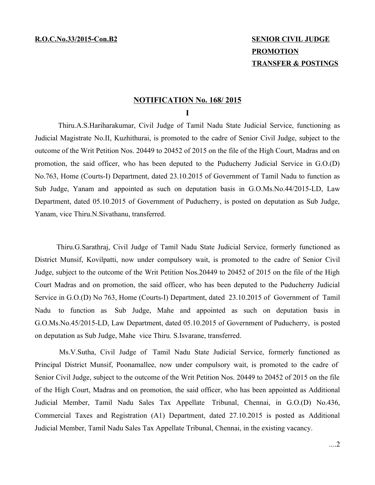## **PROMOTION TRANSFER & POSTINGS**

## **NOTIFICATION No. 168/ 2015**

**I**

Thiru.A.S.Hariharakumar, Civil Judge of Tamil Nadu State Judicial Service, functioning as Judicial Magistrate No.II, Kuzhithurai, is promoted to the cadre of Senior Civil Judge, subject to the outcome of the Writ Petition Nos. 20449 to 20452 of 2015 on the file of the High Court, Madras and on promotion, the said officer, who has been deputed to the Puducherry Judicial Service in G.O.(D) No.763, Home (Courts-I) Department, dated 23.10.2015 of Government of Tamil Nadu to function as Sub Judge, Yanam and appointed as such on deputation basis in G.O.Ms.No.44/2015-LD, Law Department, dated 05.10.2015 of Government of Puducherry, is posted on deputation as Sub Judge, Yanam, vice Thiru.N.Sivathanu, transferred.

Thiru.G.Sarathraj, Civil Judge of Tamil Nadu State Judicial Service, formerly functioned as District Munsif, Kovilpatti, now under compulsory wait, is promoted to the cadre of Senior Civil Judge, subject to the outcome of the Writ Petition Nos.20449 to 20452 of 2015 on the file of the High Court Madras and on promotion, the said officer, who has been deputed to the Puducherry Judicial Service in G.O.(D) No 763, Home (Courts-I) Department, dated 23.10.2015 of Government of Tamil Nadu to function as Sub Judge, Mahe and appointed as such on deputation basis in G.O.Ms.No.45/2015-LD, Law Department, dated 05.10.2015 of Government of Puducherry, is posted on deputation as Sub Judge, Mahe vice Thiru. S.Isvarane, transferred.

Ms.V.Sutha, Civil Judge of Tamil Nadu State Judicial Service, formerly functioned as Principal District Munsif, Poonamallee, now under compulsory wait, is promoted to the cadre of Senior Civil Judge, subject to the outcome of the Writ Petition Nos. 20449 to 20452 of 2015 on the file of the High Court, Madras and on promotion, the said officer, who has been appointed as Additional Judicial Member, Tamil Nadu Sales Tax Appellate Tribunal, Chennai, in G.O.(D) No.436, Commercial Taxes and Registration (A1) Department, dated 27.10.2015 is posted as Additional Judicial Member, Tamil Nadu Sales Tax Appellate Tribunal, Chennai, in the existing vacancy.